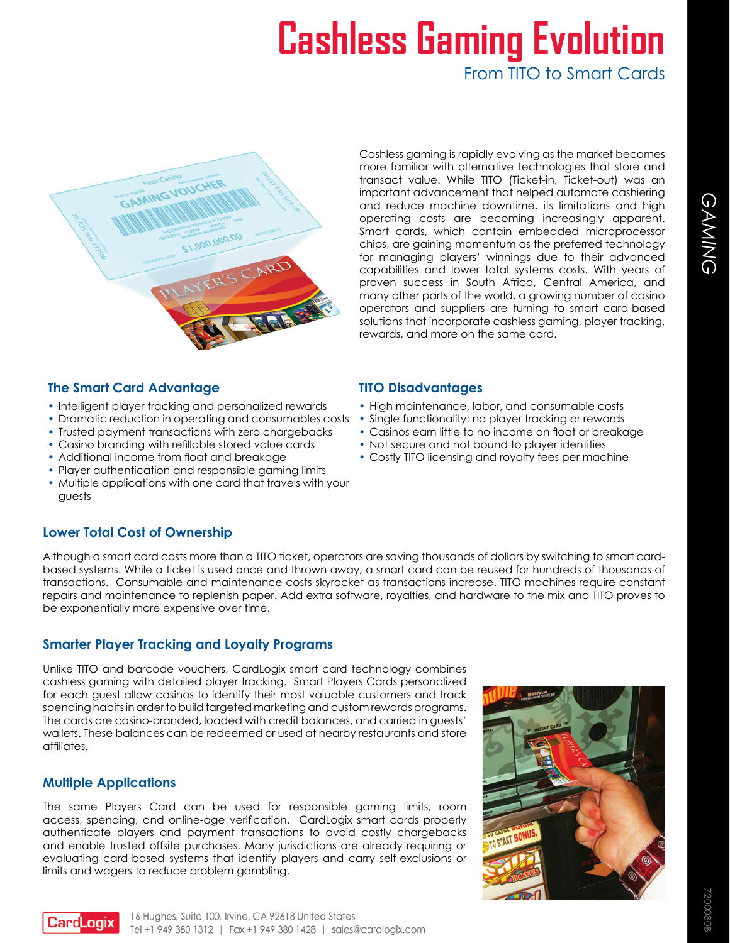# **Cashless Gaming Evolution** From TITO to Smart Cards



Cashless gaming is rapidly evolving as the market becomes more familiar with alternative technologies that store and transact value. While TITO (Ticket-in, Ticket-out) was an important advancement that helped automate cashiering and reduce machine downtime, its limitations and high operating costs are becoming increasingly apparent. Smart cards, which contain embedded microprocessor chips, are gaining momentum as the preferred technology for managing players' winnings due to their advanced capabilities and lower total systems costs. With years of proven success in South Africa, Central America, and many other parts of the world, a growing number of casino operators and suppliers are turning to smart card-based solutions that incorporate cashless gaming, player tracking, rewards, and more on the same card.

### **The Smart Card Advantage TITO Disadvantages**

- Intelligent player tracking and personalized rewards
- Dramatic reduction in operating and consumables costs
- Trusted payment transactions with zero chargebacks
- • Casino branding with refillable stored value cards
- Additional income from float and breakage
- Player authentication and responsible gaming limits
- Multiple applications with one card that travels with your guests

- High maintenance, labor, and consumable costs
- Single functionality: no player tracking or rewards
- Casinos earn little to no income on float or breakage
- Not secure and not bound to player identities
- Costly TITO licensing and royalty fees per machine

#### **Lower Total Cost of Ownership**

Although a smart card costs more than a TITO ticket, operators are saving thousands of dollars by switching to smart cardbased systems. While a ticket is used once and thrown away, a smart card can be reused for hundreds of thousands of transactions. Consumable and maintenance costs skyrocket as transactions increase. TITO machines require constant repairs and maintenance to replenish paper. Add extra software, royalties, and hardware to the mix and TITO proves to be exponentially more expensive over time.

#### **Smarter Player Tracking and Loyalty Programs**

Unlike TITO and barcode vouchers, CardLogix smart card technology combines cashless gaming with detailed player tracking. Smart Players Cards personalized for each guest allow casinos to identify their most valuable customers and track spending habits in order to build targeted marketing and custom rewards programs. The cards are casino-branded, loaded with credit balances, and carried in guests' wallets. These balances can be redeemed or used at nearby restaurants and store affiliates.

#### **Multiple Applications**

The same Players Card can be used for responsible gaming limits, room access, spending, and online-age verification. CardLogix smart cards properly authenticate players and payment transactions to avoid costly chargebacks and enable trusted offsite purchases. Many jurisdictions are already requiring or evaluating card-based systems that identify players and carry self-exclusions or limits and wagers to reduce problem gambling.